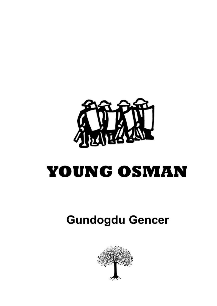

# **YOUNG OSMAN**

# **Gundogdu Gencer**

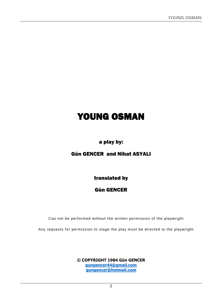# YOUNG OSMAN

# a play by:

### Gün GENCER and Nihat ASYALI

translated by

### Gün GENCER

Can not be performed without the written permission of the playwright

Any requests for permission to stage the play must be directed to the playwright

**© COPYRIGHT 1984 Gün GENCER [gungencer44@gmail.com](mailto:gungencer44@gmail.com) [gungencer@hotmail.com](mailto:gungencer@hotmail.com)**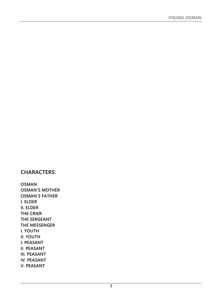# **CHARACTERS:**

**OSMAN OSMAN'S MOTHER OSMAN'S FATHER I. ELDER II. ELDER THE CRIER THE SERGEANT THE MESSENGER I. YOUTH II. YOUTH I. PEASANT II. PEASANT III. PEASANT IV. PEASANT V. PEASANT**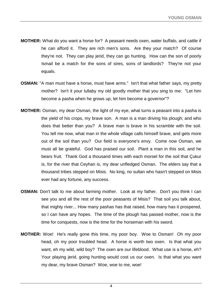- **MOTHER:** What do you want a horse for? A peasant needs oxen, water buffalo, and cattle if he can afford it. They are rich men's sons. Are they your match? Of course they're not. They can play jerid, they can go hunting. How can the son of poorly Ismail be a match for the sons of sires, sons of landlords? They're not your equals.
- **OSMAN:** "A man must have a horse, must have arms." Isn't that what father says, my pretty mother? Isn't it your lullaby my old goodly mother that you sing to me: "Let him become a pasha when he grows up, let him become a governor"?
- **MOTHER:** Osman, my dear Osman, the light of my eye, what turns a peasant into a pasha is the yield of his crops, my brave son. A man is a man driving his plough; and who does that better than you? A brave man is brave in his scramble with the soil. You tell me now, what man in the whole village calls himself brave, and gets more out of the soil than you? Our field is everyone's envy. Come now Osman, we must all be grateful. God has praised our soil. Plant a man in this soil, and he bears fruit. Thank God a thousand times with each morsel for the soil that Çukur is, for the river that Ceyhan is, my dear unfledged Osman. The elders say that a thousand tribes stepped on Misis. No king, no sultan who hasn't stepped on Misis ever had any fortune, any success.
- **OSMAN:** Don't talk to me about farming mother. Look at my father. Don't you think I can see you and all the rest of the poor peasants of Misis? That soil you talk about, that mighty river... How many pashas has that raised, how many has it prospered, so I can have any hopes. The time of the plough has passed mother, now is the time for conquests, now is the time for the horseman with his sword.
- **MOTHER:** Woe! He's really gone this time, my poor boy. Woe to Osman! Oh my poor head, oh my poor troubled head. A horse is worth two oxen. Is that what you want, eh my wild, wild boy? The oxen are our lifeblood. What use is a horse, eh? Your playing jerid, going hunting would cost us our oxen. Is that what you want my dear, my brave Osman? Woe, woe to me, woe!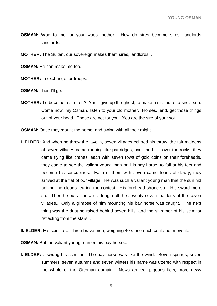**OSMAN:** Woe to me for your woes mother. How do sires become sires, landlords landlords...

**MOTHER:** The Sultan, our sovereign makes them sires, landlords...

**OSMAN:** He can make me too...

**MOTHER:** In exchange for troops...

**OSMAN:** Then I'll go.

**MOTHER:** To become a sire, eh? You'll give up the ghost, to make a sire out of a sire's son. Come now, my Osman, listen to your old mother. Horses, jerid, get those things out of your head. Those are not for you. You are the sire of your soil.

**OSMAN:** Once they mount the horse, and swing with all their might...

- **I. ELDER:** And when he threw the javelin, seven villages echoed his throw, the fair maidens of seven villages came running like partridges, over the hills, over the rocks, they came flying like cranes, each with seven rows of gold coins on their foreheads, they came to see the valiant young man on his bay horse, to fall at his feet and become his concubines. Each of them with seven camel-loads of dowry, they arrived at the flat of our village. He was such a valiant young man that the sun hid behind the clouds fearing the contest. His forehead shone so... His sword more so... Then he put at an arm's length all the seventy seven maidens of the seven villages... Only a glimpse of him mounting his bay horse was caught. The next thing was the dust he raised behind seven hills, and the shimmer of his scimitar reflecting from the stars...
- **II. ELDER:** His scimitar... Three brave men, weighing 40 stone each could not move it...

**OSMAN:** But the valiant young man on his bay horse...

**I. ELDER:** ...swung his scimitar. The bay horse was like the wind. Seven springs, seven summers, seven autumns and seven winters his name was uttered with respect in the whole of the Ottoman domain. News arrived, pigeons flew, more news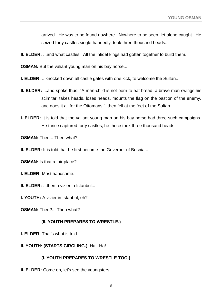arrived. He was to be found nowhere. Nowhere to be seen, let alone caught. He seized forty castles single-handedly, took three thousand heads...

**II. ELDER:** ...and what castles! All the infidel kings had gotten together to build them.

**OSMAN:** But the valiant young man on his bay horse...

- **I. ELDER:** ...knocked down all castle gates with one kick, to welcome the Sultan...
- **II. ELDER:** ...and spoke thus: "A man-child is not born to eat bread, a brave man swings his scimitar, takes heads, loses heads, mounts the flag on the bastion of the enemy, and does it all for the Ottomans.", then fell at the feet of the Sultan.
- **I. ELDER:** It is told that the valiant young man on his bay horse had three such campaigns. He thrice captured forty castles, he thrice took three thousand heads.

**OSMAN:** Then... Then what?

**II. ELDER:** It is told that he first became the Governor of Bosnia...

**OSMAN:** Is that a fair place?

- **I. ELDER:** Most handsome.
- **II. ELDER:** ...then a vizier in Istanbul...
- **I. YOUTH:** A vizier in Istanbul, eh?
- **OSMAN:** Then?... Then what?

#### **(II. YOUTH PREPARES TO WRESTLE.)**

- **I. ELDER:** That's what is told.
- **II. YOUTH: (STARTS CIRCLING.)** Ha! Ha!

#### **(I. YOUTH PREPARES TO WRESTLE TOO.)**

**II. ELDER:** Come on, let's see the youngsters.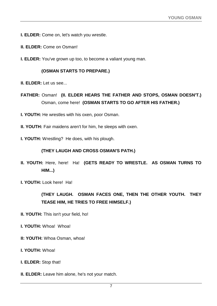- **I. ELDER:** Come on, let's watch you wrestle.
- **II. ELDER:** Come on Osman!
- **I. ELDER:** You've grown up too, to become a valiant young man.

#### **(OSMAN STARTS TO PREPARE.)**

- **II. ELDER:** Let us see...
- **FATHER:** Osman! **(II. ELDER HEARS THE FATHER AND STOPS, OSMAN DOESN'T.)** Osman, come here! **(OSMAN STARTS TO GO AFTER HIS FATHER.)**
- **I. YOUTH:** He wrestles with his oxen, poor Osman.
- **II. YOUTH:** Fair maidens aren't for him, he sleeps with oxen.
- **I. YOUTH:** Wrestling? He does, with his plough.

#### **(THEY LAUGH AND CROSS OSMAN'S PATH.)**

- **II. YOUTH:** Here, here! Ha! **(GETS READY TO WRESTLE. AS OSMAN TURNS TO HIM...)**
- **I. YOUTH:** Look here! Ha!

### **(THEY LAUGH. OSMAN FACES ONE, THEN THE OTHER YOUTH. THEY TEASE HIM, HE TRIES TO FREE HIMSELF.)**

- **II. YOUTH:** This isn't your field, ho!
- **I. YOUTH:** Whoa! Whoa!
- **II: YOUTH:** Whoa Osman, whoa!
- **I. YOUTH:** Whoa!
- **I. ELDER:** Stop that!
- **II. ELDER:** Leave him alone, he's not your match.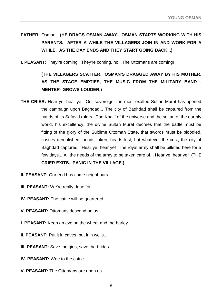# **FATHER:** Osman! **(HE DRAGS OSMAN AWAY. OSMAN STARTS WORKING WITH HIS PARENTS. AFTER A WHILE THE VILLAGERS JOIN IN AND WORK FOR A WHILE. AS THE DAY ENDS AND THEY START GOING BACK...)**

**I. PEASANT:** They're coming! They're coming, ho! The Ottomans are coming!

# **(THE VILLAGERS SCATTER. OSMAN'S DRAGGED AWAY BY HIS MOTHER. AS THE STAGE EMPTIES, THE MUSIC FROM THE MILITARY BAND - MEHTER- GROWS LOUDER.)**

- **THE CRIER:** Hear ye, hear ye! Our sovereign, the most exalted Sultan Murat has opened the campaign upon Baghdad... The city of Baghdad shall be captured from the hands of its Safavid rulers. The Khalif of the universe and the sultan of the earthly world, his excellency, the divine Sultan Murat decrees that the battle must be fitting of the glory of the Sublime Ottoman State, that swords must be bloodied, castles demolished, heads taken, heads lost, but whatever the cost, the city of Baghdad captured. Hear ye, hear ye! The royal army shall be billeted here for a few days... All the needs of the army to be taken care of... Hear ye, hear ye! **(THE CRIER EXITS. PANIC IN THE VILLAGE.)**
- **II. PEASANT:** Our end has come neighbours...
- **III. PEASANT:** We're really done for...
- **IV. PEASANT:** The cattle will be quartered...
- **V. PEASANT:** Ottomans descend on us...
- **I. PEASANT:** Keep an eye on the wheat and the barley...
- **II. PEASANT:** Put it in caves, put it in wells...
- **III. PEASANT:** Save the girls, save the brides...
- **IV. PEASANT:** Woe to the cattle...
- **V. PEASANT:** The Ottomans are upon us...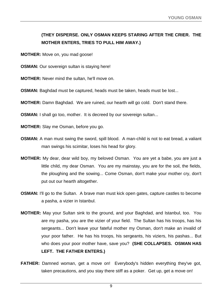## **(THEY DISPERSE. ONLY OSMAN KEEPS STARING AFTER THE CRIER. THE MOTHER ENTERS, TRIES TO PULL HIM AWAY.)**

**MOTHER:** Move on, you mad goose!

**OSMAN:** Our sovereign sultan is staying here!

**MOTHER:** Never mind the sultan, he'll move on.

**OSMAN:** Baghdad must be captured, heads must be taken, heads must be lost...

**MOTHER:** Damn Baghdad. We are ruined, our hearth will go cold. Don't stand there.

**OSMAN:** I shall go too, mother. It is decreed by our sovereign sultan...

**MOTHER:** Slay me Osman, before you go.

- **OSMAN:** A man must swing the sword, spill blood. A man-child is not to eat bread, a valiant man swings his scimitar, loses his head for glory.
- **MOTHER:** My dear, dear wild boy, my beloved Osman. You are yet a babe, you are just a little child, my dear Osman. You are my mainstay, you are for the soil, the fields, the ploughing and the sowing... Come Osman, don't make your mother cry, don't put out our hearth altogether.
- **OSMAN:** I'll go to the Sultan. A brave man must kick open gates, capture castles to become a pasha, a vizier in Istanbul.
- **MOTHER:** May your Sultan sink to the ground, and your Baghdad, and Istanbul, too. You are my pasha, you are the vizier of your field. The Sultan has his troops, has his sergeants... Don't leave your fateful mother my Osman, don't make an invalid of your poor father. He has his troops, his sergeants, his viziers, his pashas... But who does your poor mother have, save you? **(SHE COLLAPSES. OSMAN HAS LEFT. THE FATHER ENTERS.)**
- **FATHER:** Damned woman, get a move on! Everybody's hidden everything they've got, taken precautions, and you stay there stiff as a poker. Get up, get a move on!

9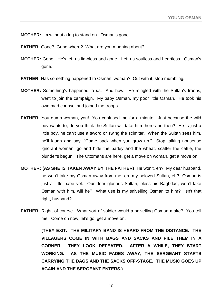**MOTHER:** I'm without a leg to stand on. Osman's gone.

- **FATHER:** Gone? Gone where? What are you moaning about?
- **MOTHER:** Gone. He's left us limbless and gone. Left us soulless and heartless. Osman's gone.
- **FATHER:** Has something happened to Osman, woman? Out with it, stop mumbling.
- **MOTHER:** Something's happened to *us*. And how. He mingled with the Sultan's troops, went to join the campaign. My baby Osman, my poor little Osman. He took his own mad counsel and joined the troops.
- **FATHER:** You dumb woman, you! You confused me for a minute. Just because the wild boy wants to, do you think the Sultan will take him there and then? He is just a little boy, he can't use a sword or swing the scimitar. When the Sultan sees him, he'll laugh and say: "Come back when you grow up." Stop talking nonsense ignorant woman, go and hide the barley and the wheat, scatter the cattle, the plunder's begun. The Ottomans are here, get a move on woman, get a move on.
- **MOTHER: (AS SHE IS TAKEN AWAY BY THE FATHER)** He won't, eh? My dear husband, he won't take my Osman away from me, eh, my beloved Sultan, eh? Osman is just a little babe yet. Our dear glorious Sultan, bless his Baghdad, won't take Osman with him, will he? What use is my snivelling Osman to him? Isn't that right, husband?
- **FATHER:** Right, of course. What sort of soldier would a snivelling Osman make? You tell me. Come on now, let's go, get a move on.

**(THEY EXIT. THE MILITARY BAND IS HEARD FROM THE DISTANCE. THE VILLAGERS COME IN WITH BAGS AND SACKS AND PILE THEM IN A CORNER. THEY LOOK DEFEATED. AFTER A WHILE, THEY START WORKING. AS THE MUSIC FADES AWAY, THE SERGEANT STARTS CARRYING THE BAGS AND THE SACKS OFF-STAGE. THE MUSIC GOES UP AGAIN AND THE SERGEANT ENTERS.)**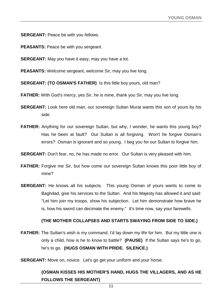**SERGEANT:** Peace be with you fellows.

- **PEASANTS:** Peace be with you sergeant.
- **SERGEANT:** May you have it easy, may you have a lot.
- **PEASANTS:** Welcome sergeant, welcome Sir, may you live long.
- **SERGEANT: (TO OSMAN'S FATHER)** Is this little boy yours, old man?
- **FATHER:** With God's mercy, yes Sir, he is mine, thank you Sir, may you live long.
- **SERGEANT:** Look here old man, our sovereign Sultan Murat wants this son of yours by his side.
- **FATHER:** Anything for our sovereign Sultan, but why, I wonder, he wants this young boy? Has he been at fault? Our Sultan is all forgiving. Won't he forgive Osman's errors? Osman is ignorant and so young. I beg you for our Sultan to forgive him.
- **SERGEANT:** Don't fear, no, he has made no error. Our Sultan is very pleased with him.
- **FATHER:** Forgive me Sir, but how come our sovereign Sultan knows this poor little boy of mine?
- **SERGEANT:** He knows all his subjects. This young Osman of yours wants to come to Baghdad, give his services to the Sultan. And his Majesty has allowed it and said: "Let him join my troops, show his subjection. Let him demonstrate how brave he is, how his sword can decimate the enemy." It's time now, say your farewells.

#### **(THE MOTHER COLLAPSES AND STARTS SWAYING FROM SIDE TO SIDE.)**

- **FATHER:** The Sultan's wish is my command, I'd lay down my life for him. But my little one is only a child, how is he to know to battle? **(PAUSE)** If the Sultan says he's to go, he's to go. **(HUGS OSMAN WITH PRIDE. SILENCE.)**
- **SERGEANT:** Move on, novice. Let's go get your uniform and your horse.

#### **(OSMAN KISSES HIS MOTHER'S HAND, HUGS THE VILLAGERS, AND AS HE FOLLOWS THE SERGEANT)**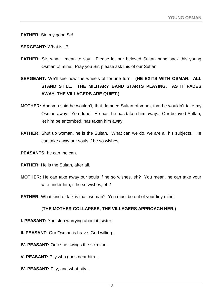#### **FATHER:** Sir, my good Sir!

#### **SERGEANT:** What is it?

- **FATHER:** Sir, what I mean to say... Please let our beloved Sultan bring back this young Osman of mine. Pray you Sir, please ask this of our Sultan.
- **SERGEANT:** We'll see how the wheels of fortune turn. **(HE EXITS WITH OSMAN. ALL STAND STILL. THE MILITARY BAND STARTS PLAYING. AS IT FADES AWAY, THE VILLAGERS ARE QUIET.)**
- **MOTHER:** And you said he wouldn't, that damned Sultan of yours, that he wouldn't take my Osman away. You dupe! He has, he has taken him away... Our beloved Sultan, let him be entombed, has taken him away.
- **FATHER:** Shut up woman, he is the Sultan. What can we do, we are all his subjects. He can take away our souls if he so wishes.
- **PEASANTS:** he can, he can.
- **FATHER:** He is the Sultan, after all.
- **MOTHER:** He can take away our souls if he so wishes, eh? You mean, he can take your wife under him, if he so wishes, eh?
- **FATHER:** What kind of talk is that, woman? You must be out of your tiny mind.

#### **(THE MOTHER COLLAPSES, THE VILLAGERS APPROACH HER.)**

- **I. PEASANT:** You stop worrying about it, sister.
- **II. PEASANT:** Our Osman is brave, God willing...
- **IV. PEASANT:** Once he swings the scimitar...
- **V. PEASANT:** Pity who goes near him...
- **IV. PEASANT:** Pity, and what pity...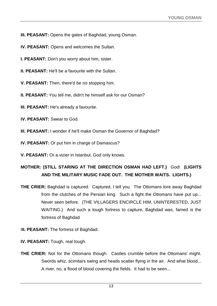**III. PEASANT:** Opens the gates of Baghdad, young Osman.

- **IV. PEASANT:** Opens and welcomes the Sultan.
- **I. PEASANT:** Don't you worry about him, sister.
- **II. PEASANT:** He'll be a favourite with the Sultan.
- **V. PEASANT:** Then, there'd be no stopping him.
- **II. PEASANT:** You tell me, didn't he himself ask for our Osman?
- **III. PEASANT:** He's already a favourite.
- **IV. PEASANT:** Swear to God.
- **III. PEASANT:** I wonder if he'll make Osman the Governor of Baghdad?
- **IV. PEASANT:** Or put him in charge of Damascus?
- **V. PEASANT:** Or a vizier in Istanbul, God only knows.

## **MOTHER: (STILL STARING AT THE DIRECTION OSMAN HAD LEFT.)** God! **(LIGHTS AND THE MILITARY MUSIC FADE OUT. THE MOTHER WAITS. LIGHTS.)**

- **THE CRIER:** Baghdad is captured. Captured, I tell you. The Ottomans tore away Baghdad from the clutches of the Persian king. Such a fight the Ottomans have put up... Never seen before. (THE VILLAGERS ENCIRCLE HIM, UNINTERESTED, JUST WAITING.) And such a tough fortress to capture, Baghdad was, famed is the fortress of Baghdad
- **III. PEASANT:** The fortress of Baghdad.
- **IV. PEASANT:** Tough, real tough.
- **THE CRIER:** Not for the Ottomans though. Castles crumble before the Ottomans' might. Swords whiz, scimitars swing and heads scatter flying in the air. And what blood... A river, no, a flood of blood covering the fields. It had to be seen...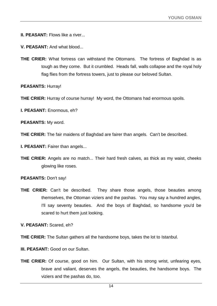**II. PEASANT:** Flows like a river...

**V. PEASANT:** And what blood...

**THE CRIER:** What fortress can withstand the Ottomans. The fortress of Baghdad is as tough as they come. But it crumbled. Heads fall, walls collapse and the royal holy flag flies from the fortress towers, just to please our beloved Sultan.

**PEASANTS:** Hurray!

**THE CRIER:** Hurray of course hurray! My word, the Ottomans had enormous spoils.

**I. PEASANT:** Enormous, eh?

**PEASANTS:** My word.

**THE CRIER:** The fair maidens of Baghdad are fairer than angels. Can't be described.

**I. PEASANT:** Fairer than angels...

**THE CRIER:** Angels are no match... Their hard fresh calves, as thick as my waist, cheeks glowing like roses.

**PEASANTS:** Don't say!

**THE CRIER:** Can't be described. They share those angels, those beauties among themselves, the Ottoman viziers and the pashas. You may say a hundred angles, I'll say seventy beauties. And the boys of Baghdad, so handsome you'd be scared to hurt them just looking.

**V. PEASANT:** Scared, eh?

**THE CRIER:** The Sultan gathers all the handsome boys, takes the lot to Istanbul.

**III. PEASANT:** Good on our Sultan.

**THE CRIER:** Of course, good on him. Our Sultan, with his strong wrist, unfearing eyes, brave and valiant, deserves the angels, the beauties, the handsome boys. The viziers and the pashas do, too.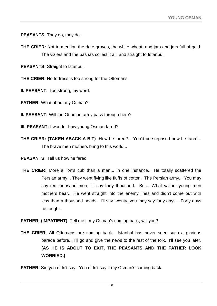**PEASANTS:** They do, they do.

**THE CRIER:** Not to mention the date groves, the white wheat, and jars and jars full of gold. The viziers and the pashas collect it all, and straight to Istanbul.

**PEASANTS:** Straight to Istanbul.

**THE CRIER:** No fortress is too strong for the Ottomans.

**II. PEASANT:** Too strong, my word.

**FATHER:** What about my Osman?

**II. PEASANT:** Will the Ottoman army pass through here?

- **III. PEASANT:** I wonder how young Osman fared?
- **THE CRIER: (TAKEN ABACK A BIT)** How he fared?... You'd be surprised how he fared... The brave men mothers bring to this world...

**PEASANTS:** Tell us how he fared.

**THE CRIER:** More a lion's cub than a man... In one instance... He totally scattered the Persian army... They went flying like fluffs of cotton. The Persian army... You may say ten thousand men, I'll say forty thousand. But... What valiant young men mothers bear... He went straight into the enemy lines and didn't come out with less than a thousand heads. I'll say twenty, you may say forty days... Forty days he fought.

**FATHER: (IMPATIENT)** Tell me if my Osman's coming back, will you?

**THE CRIER:** All Ottomans are coming back. Istanbul has never seen such a glorious parade before... I'll go and give the news to the rest of the folk. I'll see you later. **(AS HE IS ABOUT TO EXIT, THE PEASANTS AND THE FATHER LOOK WORRIED.)**

**FATHER:** Sir, you didn't say. You didn't say if my Osman's coming back.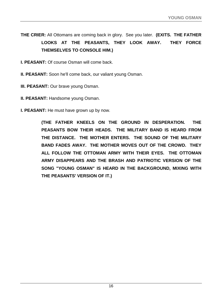**THE CRIER:** All Ottomans are coming back in glory. See you later. **(EXITS. THE FATHER LOOKS AT THE PEASANTS, THEY LOOK AWAY. THEY FORCE THEMSELVES TO CONSOLE HIM.)**

**I. PEASANT:** Of course Osman will come back.

**II. PEASANT:** Soon he'll come back, our valiant young Osman.

**III. PEASANT:** Our brave young Osman.

**II. PEASANT:** Handsome young Osman.

**I. PEASANT:** He must have grown up by now.

**(THE FATHER KNEELS ON THE GROUND IN DESPERATION. THE PEASANTS BOW THEIR HEADS. THE MILITARY BAND IS HEARD FROM THE DISTANCE. THE MOTHER ENTERS. THE SOUND OF THE MILITARY BAND FADES AWAY. THE MOTHER MOVES OUT OF THE CROWD. THEY ALL FOLLOW THE OTTOMAN ARMY WITH THEIR EYES. THE OTTOMAN ARMY DISAPPEARS AND THE BRASH AND PATRIOTIC VERSION OF THE SONG "YOUNG OSMAN" IS HEARD IN THE BACKGROUND, MIXING WITH THE PEASANTS' VERSION OF IT.)**